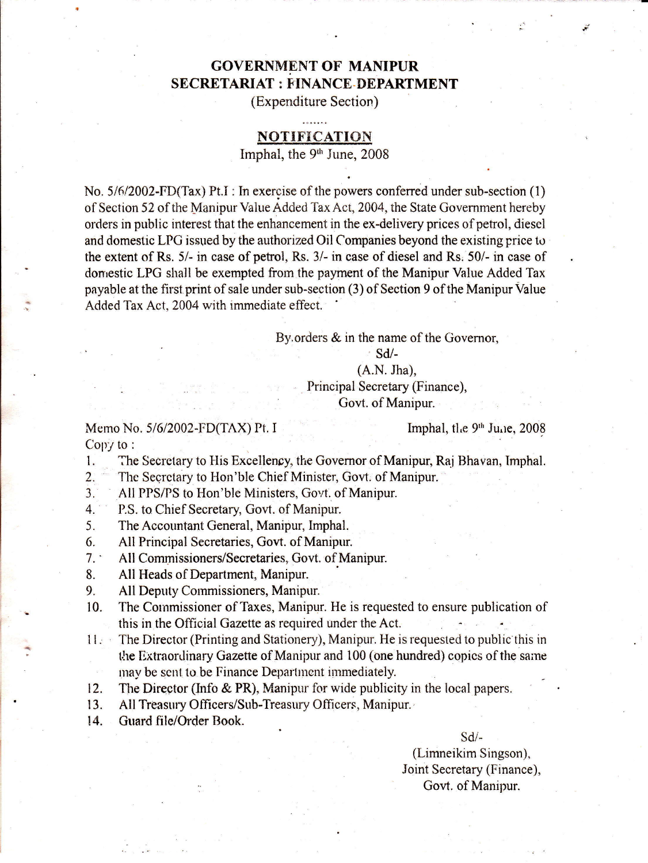## **GOVERNMENT OF MANIPUR** SECRETARIAT : FINANCE DEPARTMENT

(Expenditure Section)

### NOTIFICATION

Imphal, the 9<sup>th</sup> June, 2008

No. 5/6/2002-FD(Tax) Pt.I : In exercise of the powers conferred under sub-section (1) of Section 52 of the Manipur Value Added Tax Act, 2004, the State Government hereby orders in public interest that the enhancement in the ex-delivery prices of petrol, diescl and domestic LPG issued by the authorized Oil Companies beyond the existing price to the extent of Rs. 5/- in case of petrol, Rs. 3/- in case of diesel and Rs. 50/- in case of domestic LPG shall be exempted from the payment of the Manipur Value Added Tax payable at the first. print of sale under sub-section (3) of Section 9 of the Manipur Value Added Tax Act, 2004 with immediate effect.

By orders & in the name of the Governor,

sd/-

#### (A.N. Jha),

, Principal Secretary (Finance), Govt. of Manipur.

Memo No.  $5/6/2002$ -FD(TAX) Pt. I Imphal, the  $9<sup>th</sup>$  June, 2008 Copy to:

.tt

1. The Secretary to tlis Excellency. the Governor of Manipur, Raj Bhavan, Imphal.

- 2. The Secrctary to Hon'ble Chief Minister, Govt. of Manipur.
- 3. All PPS/PS to Hon'ble Ministers, Govt. of Manipur.
- 4. **P.S. to Chief Secretary, Govt. of Manipur.**
- 5. The Accountant General, Manipur, Imphal.
- 6. All Principal Secretaries, Govt. of Manipur.
- 7. All Commissioners/Secretaries, Govt. of Manipur.
- 8. All Heads of Department, Manipur
- 9. All Deputy Commissioners, Manipur.<br>10. The Commissioner of Taxes. Manipur.
- The Commissioner of Taxes, Manipur. He is requested to ensure publication of this in the Official Gazette as required under the Act.
- <sup>1</sup>l. The Director (Printing and Stationery), Manipur, He is requested to public this in the Extraordinary Gazette of Manipur and 100 (one hundred) copics of the same mav be sent to be Finance Department immediately.
- 12. The Director (Info & PR), Manipur for wide publicity in the local papers.
- 13. All Treasury Officers/Sub-Treasury Officers, Manipur.
- 14. Guard file/Order Book.

#### $Sd$  -

(Limneikim Singson), Joint Secretary (Finance), Govt. of Manipur.